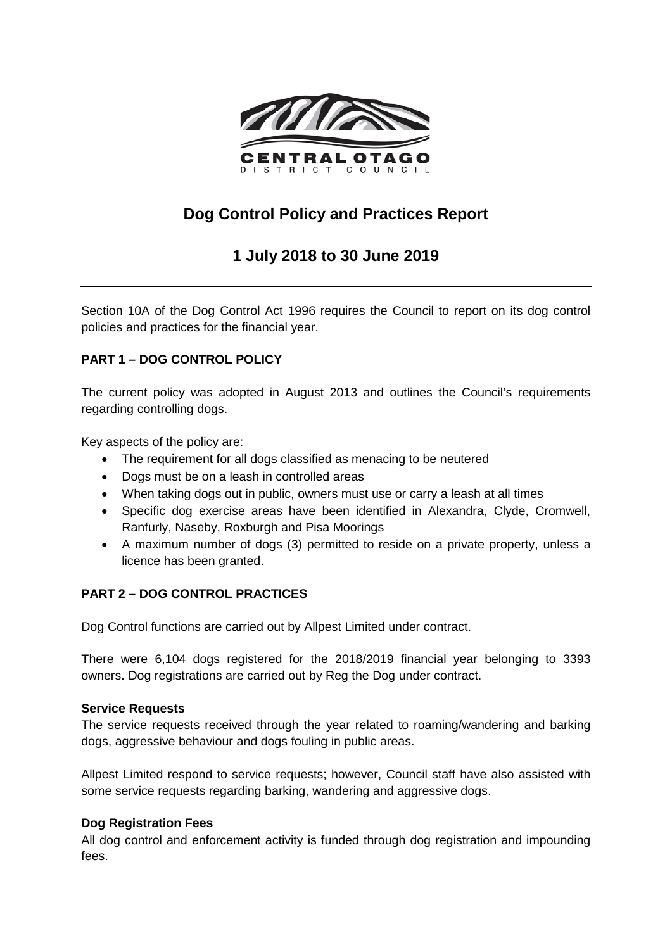

# **Dog Control Policy and Practices Report**

## **1 July 2018 to 30 June 2019**

Section 10A of the Dog Control Act 1996 requires the Council to report on its dog control policies and practices for the financial year.

## **PART 1 – DOG CONTROL POLICY**

The current policy was adopted in August 2013 and outlines the Council's requirements regarding controlling dogs.

Key aspects of the policy are:

- The requirement for all dogs classified as menacing to be neutered
- Dogs must be on a leash in controlled areas
- When taking dogs out in public, owners must use or carry a leash at all times
- Specific dog exercise areas have been identified in Alexandra, Clyde, Cromwell, Ranfurly, Naseby, Roxburgh and Pisa Moorings
- A maximum number of dogs (3) permitted to reside on a private property, unless a licence has been granted.

## **PART 2 – DOG CONTROL PRACTICES**

Dog Control functions are carried out by Allpest Limited under contract.

There were 6,104 dogs registered for the 2018/2019 financial year belonging to 3393 owners. Dog registrations are carried out by Reg the Dog under contract.

## **Service Requests**

The service requests received through the year related to roaming/wandering and barking dogs, aggressive behaviour and dogs fouling in public areas.

Allpest Limited respond to service requests; however, Council staff have also assisted with some service requests regarding barking, wandering and aggressive dogs.

## **Dog Registration Fees**

All dog control and enforcement activity is funded through dog registration and impounding fees.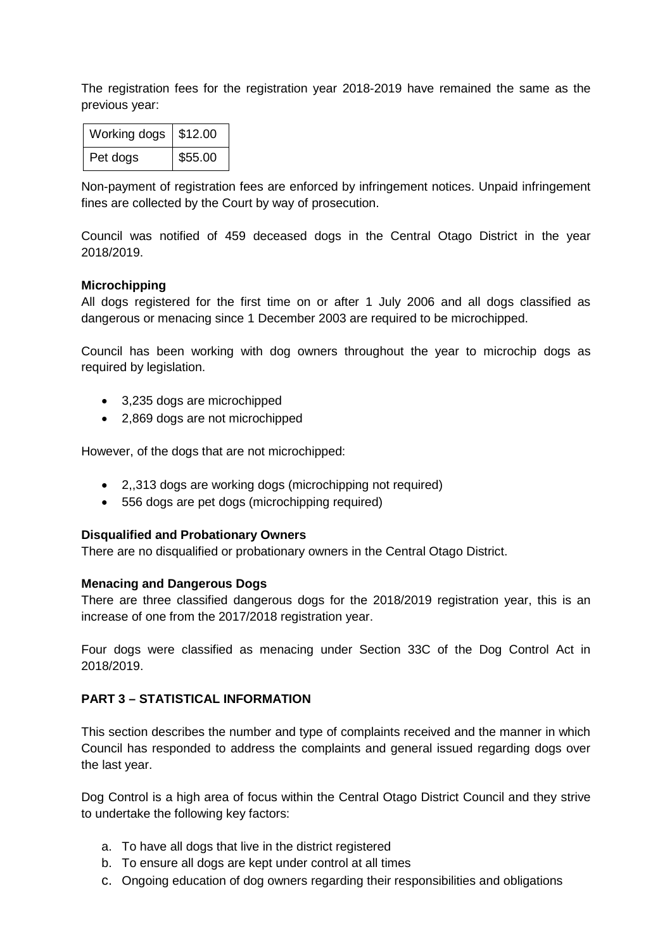The registration fees for the registration year 2018-2019 have remained the same as the previous year:

| Working dogs | $\frac{1}{2}$ \$12.00 |
|--------------|-----------------------|
| Pet dogs     | \$55.00               |

Non-payment of registration fees are enforced by infringement notices. Unpaid infringement fines are collected by the Court by way of prosecution.

Council was notified of 459 deceased dogs in the Central Otago District in the year 2018/2019.

#### **Microchipping**

All dogs registered for the first time on or after 1 July 2006 and all dogs classified as dangerous or menacing since 1 December 2003 are required to be microchipped.

Council has been working with dog owners throughout the year to microchip dogs as required by legislation.

- 3,235 dogs are microchipped
- 2,869 dogs are not microchipped

However, of the dogs that are not microchipped:

- 2,,313 dogs are working dogs (microchipping not required)
- 556 dogs are pet dogs (microchipping required)

#### **Disqualified and Probationary Owners**

There are no disqualified or probationary owners in the Central Otago District.

#### **Menacing and Dangerous Dogs**

There are three classified dangerous dogs for the 2018/2019 registration year, this is an increase of one from the 2017/2018 registration year.

Four dogs were classified as menacing under Section 33C of the Dog Control Act in 2018/2019.

## **PART 3 – STATISTICAL INFORMATION**

This section describes the number and type of complaints received and the manner in which Council has responded to address the complaints and general issued regarding dogs over the last year.

Dog Control is a high area of focus within the Central Otago District Council and they strive to undertake the following key factors:

- a. To have all dogs that live in the district registered
- b. To ensure all dogs are kept under control at all times
- c. Ongoing education of dog owners regarding their responsibilities and obligations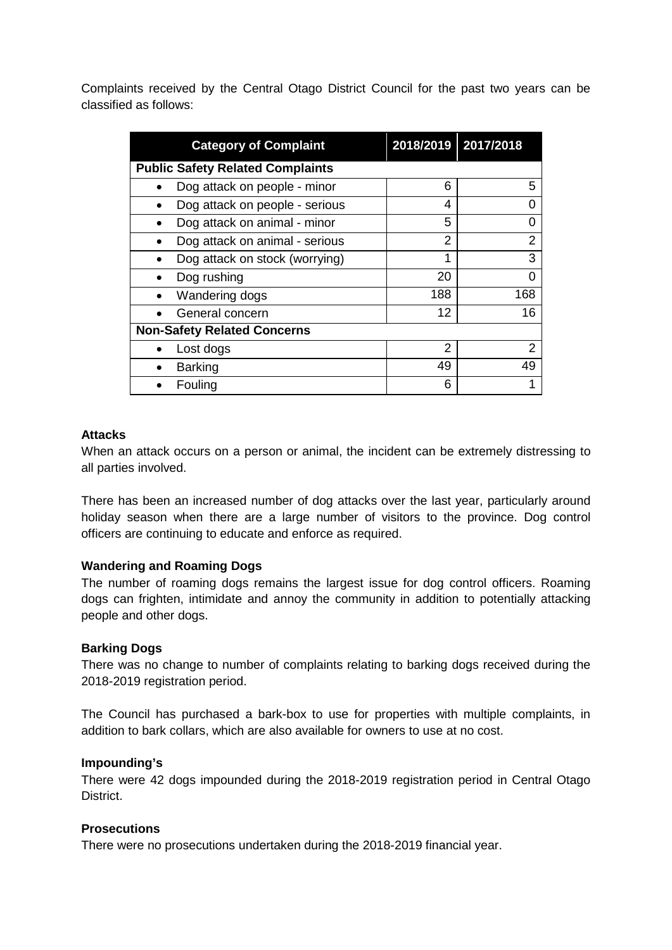Complaints received by the Central Otago District Council for the past two years can be classified as follows:

| <b>Category of Complaint</b>            |     | 2018/2019 2017/2018 |  |  |
|-----------------------------------------|-----|---------------------|--|--|
| <b>Public Safety Related Complaints</b> |     |                     |  |  |
| Dog attack on people - minor            | 6   | 5                   |  |  |
| Dog attack on people - serious          | 4   | O                   |  |  |
| Dog attack on animal - minor            | 5   | 0                   |  |  |
| Dog attack on animal - serious          | 2   | 2                   |  |  |
| Dog attack on stock (worrying)          | 1   | 3                   |  |  |
| Dog rushing                             | 20  | 0                   |  |  |
| Wandering dogs                          | 188 | 168                 |  |  |
| General concern                         | 12  | 16                  |  |  |
| <b>Non-Safety Related Concerns</b>      |     |                     |  |  |
| Lost dogs                               | 2   | 2                   |  |  |
| <b>Barking</b>                          | 49  | 49                  |  |  |
| Fouling                                 | 6   |                     |  |  |

## **Attacks**

When an attack occurs on a person or animal, the incident can be extremely distressing to all parties involved.

There has been an increased number of dog attacks over the last year, particularly around holiday season when there are a large number of visitors to the province. Dog control officers are continuing to educate and enforce as required.

## **Wandering and Roaming Dogs**

The number of roaming dogs remains the largest issue for dog control officers. Roaming dogs can frighten, intimidate and annoy the community in addition to potentially attacking people and other dogs.

#### **Barking Dogs**

There was no change to number of complaints relating to barking dogs received during the 2018-2019 registration period.

The Council has purchased a bark-box to use for properties with multiple complaints, in addition to bark collars, which are also available for owners to use at no cost.

#### **Impounding's**

There were 42 dogs impounded during the 2018-2019 registration period in Central Otago District.

## **Prosecutions**

There were no prosecutions undertaken during the 2018-2019 financial year.